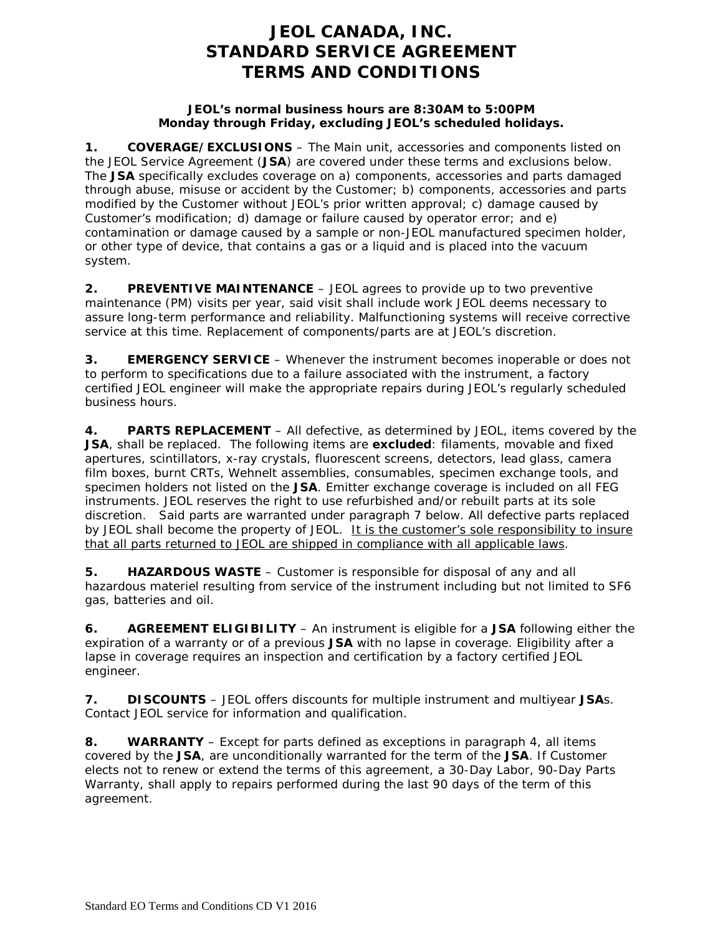# **JEOL CANADA, INC. STANDARD SERVICE AGREEMENT TERMS AND CONDITIONS**

#### **JEOL's normal business hours are 8:30AM to 5:00PM Monday through Friday, excluding JEOL's scheduled holidays.**

**1. COVERAGE/EXCLUSIONS** – The Main unit, accessories and components listed on the JEOL Service Agreement (**JSA**) are covered under these terms and exclusions below. The **JSA** specifically excludes coverage on a) components, accessories and parts damaged through abuse, misuse or accident by the Customer; b) components, accessories and parts modified by the Customer without JEOL's prior written approval; c) damage caused by Customer's modification; d) damage or failure caused by operator error; and e) contamination or damage caused by a sample or non-JEOL manufactured specimen holder, or other type of device, that contains a gas or a liquid and is placed into the vacuum system.

**2. PREVENTIVE MAINTENANCE** – JEOL agrees to provide up to two preventive maintenance (PM) visits per year, said visit shall include work JEOL deems necessary to assure long-term performance and reliability. Malfunctioning systems will receive corrective service at this time. Replacement of components/parts are at JEOL's discretion.

**3. EMERGENCY SERVICE** – Whenever the instrument becomes inoperable or does not to perform to specifications due to a failure associated with the instrument, a factory certified JEOL engineer will make the appropriate repairs during JEOL's regularly scheduled business hours.

**4. PARTS REPLACEMENT** – All defective, as determined by JEOL, items covered by the **JSA**, shall be replaced. The following items are **excluded**: filaments, movable and fixed apertures, scintillators, x-ray crystals, fluorescent screens, detectors, lead glass, camera film boxes, burnt CRTs, Wehnelt assemblies, consumables, specimen exchange tools, and specimen holders not listed on the **JSA**. Emitter exchange coverage is included on all FEG instruments. JEOL reserves the right to use refurbished and/or rebuilt parts at its sole discretion. Said parts are warranted under paragraph 7 below. All defective parts replaced by JEOL shall become the property of JEOL. It is the customer's sole responsibility to insure that all parts returned to JEOL are shipped in compliance with all applicable laws.

**5. HAZARDOUS WASTE** – Customer is responsible for disposal of any and all hazardous materiel resulting from service of the instrument including but not limited to SF6 gas, batteries and oil.

**6. AGREEMENT ELIGIBILITY** – An instrument is eligible for a **JSA** following either the expiration of a warranty or of a previous **JSA** with no lapse in coverage. Eligibility after a lapse in coverage requires an inspection and certification by a factory certified JEOL engineer.

**7. DISCOUNTS** – JEOL offers discounts for multiple instrument and multiyear **JSA**s. Contact JEOL service for information and qualification.

**8. WARRANTY** – Except for parts defined as exceptions in paragraph 4, all items covered by the **JSA**, are unconditionally warranted for the term of the **JSA**. If Customer elects not to renew or extend the terms of this agreement, a 30-Day Labor, 90-Day Parts Warranty, shall apply to repairs performed during the last 90 days of the term of this agreement.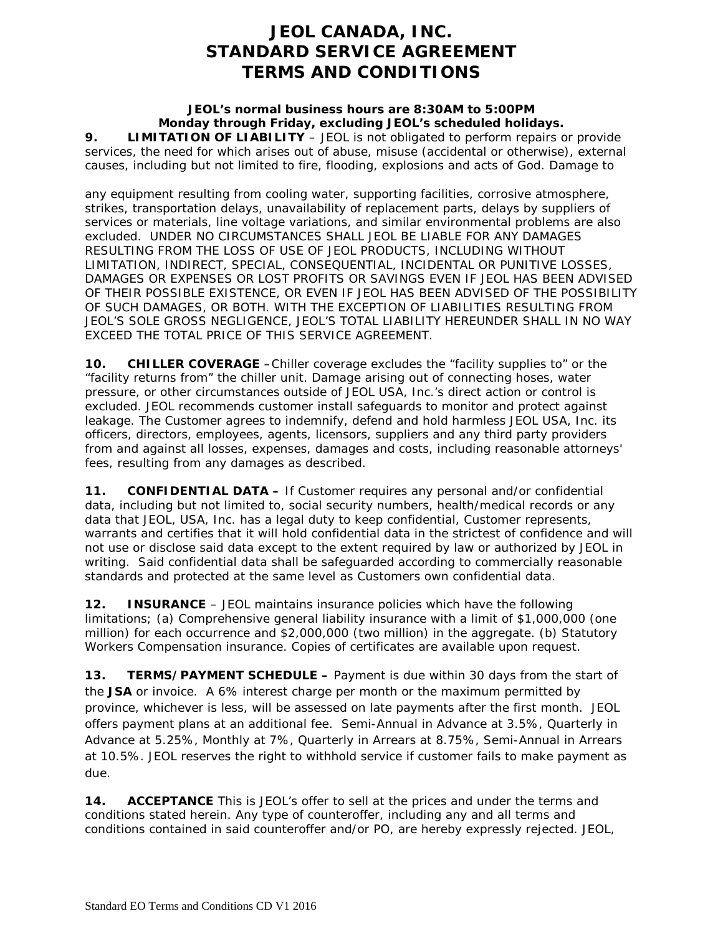# **JEOL CANADA, INC. STANDARD SERVICE AGREEMENT TERMS AND CONDITIONS**

### **JEOL's normal business hours are 8:30AM to 5:00PM Monday through Friday, excluding JEOL's scheduled holidays.**

**9. LIMITATION OF LIABILITY** – JEOL is not obligated to perform repairs or provide services, the need for which arises out of abuse, misuse (accidental or otherwise), external causes, including but not limited to fire, flooding, explosions and acts of God. Damage to

any equipment resulting from cooling water, supporting facilities, corrosive atmosphere, strikes, transportation delays, unavailability of replacement parts, delays by suppliers of services or materials, line voltage variations, and similar environmental problems are also excluded. UNDER NO CIRCUMSTANCES SHALL JEOL BE LIABLE FOR ANY DAMAGES RESULTING FROM THE LOSS OF USE OF JEOL PRODUCTS, INCLUDING WITHOUT LIMITATION, INDIRECT, SPECIAL, CONSEQUENTIAL, INCIDENTAL OR PUNITIVE LOSSES, DAMAGES OR EXPENSES OR LOST PROFITS OR SAVINGS EVEN IF JEOL HAS BEEN ADVISED OF THEIR POSSIBLE EXISTENCE, OR EVEN IF JEOL HAS BEEN ADVISED OF THE POSSIBILITY OF SUCH DAMAGES, OR BOTH. WITH THE EXCEPTION OF LIABILITIES RESULTING FROM JEOL'S SOLE GROSS NEGLIGENCE, JEOL'S TOTAL LIABILITY HEREUNDER SHALL IN NO WAY EXCEED THE TOTAL PRICE OF THIS SERVICE AGREEMENT.

**10. CHILLER COVERAGE** –Chiller coverage excludes the "facility supplies to" or the "facility returns from" the chiller unit. Damage arising out of connecting hoses, water pressure, or other circumstances outside of JEOL USA, Inc.'s direct action or control is excluded. JEOL recommends customer install safeguards to monitor and protect against leakage. The Customer agrees to indemnify, defend and hold harmless JEOL USA, Inc. its officers, directors, employees, agents, licensors, suppliers and any third party providers from and against all losses, expenses, damages and costs, including reasonable attorneys' fees, resulting from any damages as described.

**11. CONFIDENTIAL DATA –** If Customer requires any personal and/or confidential data, including but not limited to, social security numbers, health/medical records or any data that JEOL, USA, Inc. has a legal duty to keep confidential, Customer represents, warrants and certifies that it will hold confidential data in the strictest of confidence and will not use or disclose said data except to the extent required by law or authorized by JEOL in writing. Said confidential data shall be safeguarded according to commercially reasonable standards and protected at the same level as Customers own confidential data.

**12. INSURANCE** – JEOL maintains insurance policies which have the following limitations; (a) Comprehensive general liability insurance with a limit of \$1,000,000 (one million) for each occurrence and \$2,000,000 (two million) in the aggregate. (b) Statutory Workers Compensation insurance. Copies of certificates are available upon request.

**13. TERMS/PAYMENT SCHEDULE –** Payment is due within 30 days from the start of the **JSA** or invoice. A 6% interest charge per month or the maximum permitted by province, whichever is less, will be assessed on late payments after the first month. JEOL offers payment plans at an additional fee. Semi-Annual in Advance at 3.5%, Quarterly in Advance at 5.25%, Monthly at 7%, Quarterly in Arrears at 8.75%, Semi-Annual in Arrears at 10.5%. JEOL reserves the right to withhold service if customer fails to make payment as due.

**14. ACCEPTANCE** This is JEOL's offer to sell at the prices and under the terms and conditions stated herein. Any type of counteroffer, including any and all terms and conditions contained in said counteroffer and/or PO, are hereby expressly rejected. JEOL,